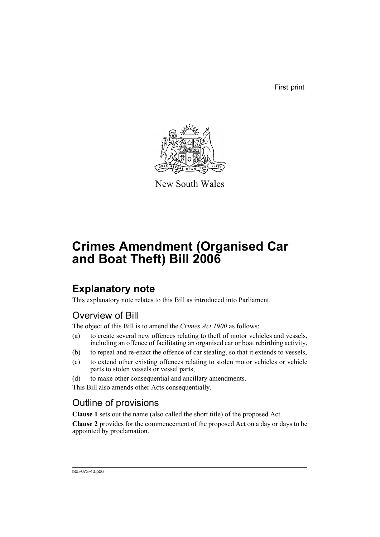First print



New South Wales

# **Crimes Amendment (Organised Car and Boat Theft) Bill 2006**

## **Explanatory note**

This explanatory note relates to this Bill as introduced into Parliament.

## Overview of Bill

The object of this Bill is to amend the *Crimes Act 1900* as follows:

- (a) to create several new offences relating to theft of motor vehicles and vessels, including an offence of facilitating an organised car or boat rebirthing activity,
- (b) to repeal and re-enact the offence of car stealing, so that it extends to vessels,
- (c) to extend other existing offences relating to stolen motor vehicles or vehicle parts to stolen vessels or vessel parts,
- (d) to make other consequential and ancillary amendments.

This Bill also amends other Acts consequentially.

### Outline of provisions

**Clause 1** sets out the name (also called the short title) of the proposed Act.

**Clause 2** provides for the commencement of the proposed Act on a day or days to be appointed by proclamation.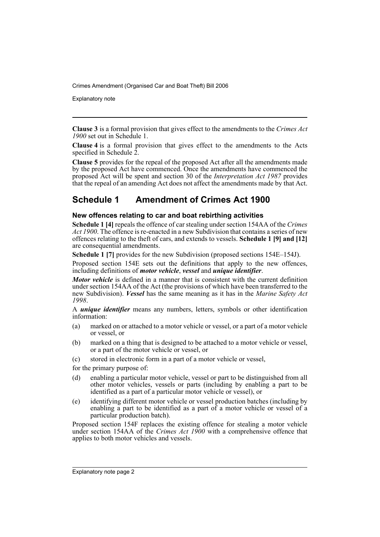Explanatory note

**Clause 3** is a formal provision that gives effect to the amendments to the *Crimes Act 1900* set out in Schedule 1.

**Clause 4** is a formal provision that gives effect to the amendments to the Acts specified in Schedule 2.

**Clause 5** provides for the repeal of the proposed Act after all the amendments made by the proposed Act have commenced. Once the amendments have commenced the proposed Act will be spent and section 30 of the *Interpretation Act 1987* provides that the repeal of an amending Act does not affect the amendments made by that Act.

### **Schedule 1 Amendment of Crimes Act 1900**

#### **New offences relating to car and boat rebirthing activities**

**Schedule 1 [4]** repeals the offence of car stealing under section 154AA of the *Crimes Act 1900*. The offence is re-enacted in a new Subdivision that contains a series of new offences relating to the theft of cars, and extends to vessels. **Schedule 1 [9] and [12]** are consequential amendments.

**Schedule 1 [7]** provides for the new Subdivision (proposed sections 154E–154J).

Proposed section 154E sets out the definitions that apply to the new offences, including definitions of *motor vehicle*, *vessel* and *unique identifier*.

*Motor vehicle* is defined in a manner that is consistent with the current definition under section 154AA of the Act (the provisions of which have been transferred to the new Subdivision). *Vessel* has the same meaning as it has in the *Marine Safety Act 1998*.

A *unique identifier* means any numbers, letters, symbols or other identification information:

- (a) marked on or attached to a motor vehicle or vessel, or a part of a motor vehicle or vessel, or
- (b) marked on a thing that is designed to be attached to a motor vehicle or vessel, or a part of the motor vehicle or vessel, or
- (c) stored in electronic form in a part of a motor vehicle or vessel,

for the primary purpose of:

- (d) enabling a particular motor vehicle, vessel or part to be distinguished from all other motor vehicles, vessels or parts (including by enabling a part to be identified as a part of a particular motor vehicle or vessel), or
- (e) identifying different motor vehicle or vessel production batches (including by enabling a part to be identified as a part of a motor vehicle or vessel of a particular production batch).

Proposed section 154F replaces the existing offence for stealing a motor vehicle under section 154AA of the *Crimes Act 1900* with a comprehensive offence that applies to both motor vehicles and vessels.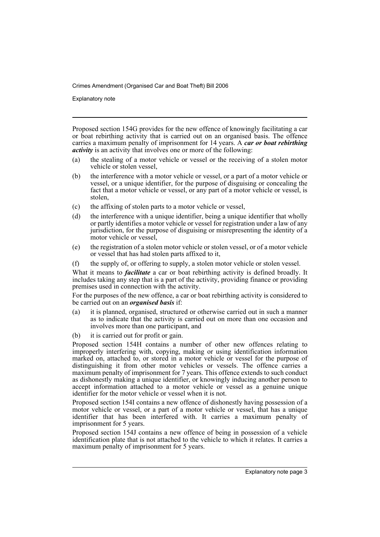Explanatory note

Proposed section 154G provides for the new offence of knowingly facilitating a car or boat rebirthing activity that is carried out on an organised basis. The offence carries a maximum penalty of imprisonment for 14 years. A *car or boat rebirthing activity* is an activity that involves one or more of the following:

- (a) the stealing of a motor vehicle or vessel or the receiving of a stolen motor vehicle or stolen vessel,
- (b) the interference with a motor vehicle or vessel, or a part of a motor vehicle or vessel, or a unique identifier, for the purpose of disguising or concealing the fact that a motor vehicle or vessel, or any part of a motor vehicle or vessel, is stolen,
- (c) the affixing of stolen parts to a motor vehicle or vessel,
- (d) the interference with a unique identifier, being a unique identifier that wholly or partly identifies a motor vehicle or vessel for registration under a law of any jurisdiction, for the purpose of disguising or misrepresenting the identity of a motor vehicle or vessel,
- (e) the registration of a stolen motor vehicle or stolen vessel, or of a motor vehicle or vessel that has had stolen parts affixed to it,
- (f) the supply of, or offering to supply, a stolen motor vehicle or stolen vessel.

What it means to *facilitate* a car or boat rebirthing activity is defined broadly. It includes taking any step that is a part of the activity, providing finance or providing premises used in connection with the activity.

For the purposes of the new offence, a car or boat rebirthing activity is considered to be carried out on an *organised basis* if:

- (a) it is planned, organised, structured or otherwise carried out in such a manner as to indicate that the activity is carried out on more than one occasion and involves more than one participant, and
- (b) it is carried out for profit or gain.

Proposed section 154H contains a number of other new offences relating to improperly interfering with, copying, making or using identification information marked on, attached to, or stored in a motor vehicle or vessel for the purpose of distinguishing it from other motor vehicles or vessels. The offence carries a maximum penalty of imprisonment for 7 years. This offence extends to such conduct as dishonestly making a unique identifier, or knowingly inducing another person to accept information attached to a motor vehicle or vessel as a genuine unique identifier for the motor vehicle or vessel when it is not.

Proposed section 154I contains a new offence of dishonestly having possession of a motor vehicle or vessel, or a part of a motor vehicle or vessel, that has a unique identifier that has been interfered with. It carries a maximum penalty of imprisonment for 5 years.

Proposed section 154J contains a new offence of being in possession of a vehicle identification plate that is not attached to the vehicle to which it relates. It carries a maximum penalty of imprisonment for 5 years.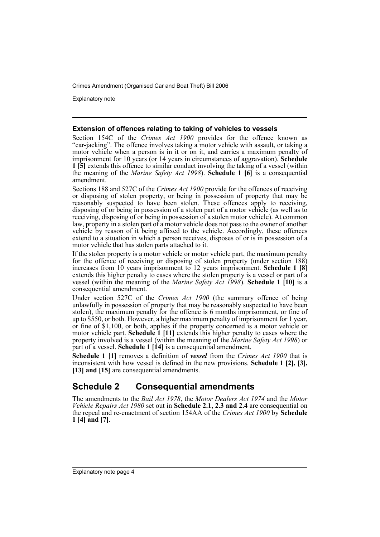Explanatory note

#### **Extension of offences relating to taking of vehicles to vessels**

Section 154C of the *Crimes Act 1900* provides for the offence known as "car-jacking". The offence involves taking a motor vehicle with assault, or taking a motor vehicle when a person is in it or on it, and carries a maximum penalty of imprisonment for 10 years (or 14 years in circumstances of aggravation). **Schedule 1 [5]** extends this offence to similar conduct involving the taking of a vessel (within the meaning of the *Marine Safety Act 1998*). **Schedule 1 [6]** is a consequential amendment.

Sections 188 and 527C of the *Crimes Act 1900* provide for the offences of receiving or disposing of stolen property, or being in possession of property that may be reasonably suspected to have been stolen. These offences apply to receiving, disposing of or being in possession of a stolen part of a motor vehicle (as well as to receiving, disposing of or being in possession of a stolen motor vehicle). At common law, property in a stolen part of a motor vehicle does not pass to the owner of another vehicle by reason of it being affixed to the vehicle. Accordingly, these offences extend to a situation in which a person receives, disposes of or is in possession of a motor vehicle that has stolen parts attached to it.

If the stolen property is a motor vehicle or motor vehicle part, the maximum penalty for the offence of receiving or disposing of stolen property (under section 188) increases from 10 years imprisonment to 12 years imprisonment. **Schedule 1 [8]** extends this higher penalty to cases where the stolen property is a vessel or part of a vessel (within the meaning of the *Marine Safety Act 1998*). **Schedule 1 [10]** is a consequential amendment.

Under section 527C of the *Crimes Act 1900* (the summary offence of being unlawfully in possession of property that may be reasonably suspected to have been stolen), the maximum penalty for the offence is 6 months imprisonment, or fine of up to \$550, or both. However, a higher maximum penalty of imprisonment for 1 year, or fine of \$1,100, or both, applies if the property concerned is a motor vehicle or motor vehicle part. **Schedule 1** [11] extends this higher penalty to cases where the property involved is a vessel (within the meaning of the *Marine Safety Act 1998*) or part of a vessel. **Schedule 1 [14]** is a consequential amendment.

**Schedule 1 [1]** removes a definition of *vessel* from the *Crimes Act 1900* that is inconsistent with how vessel is defined in the new provisions. **Schedule 1 [2], [3], [13] and [15]** are consequential amendments.

#### **Schedule 2 Consequential amendments**

The amendments to the *Bail Act 1978*, the *Motor Dealers Act 1974* and the *Motor Vehicle Repairs Act 1980* set out in **Schedule 2.1, 2.3 and 2.4** are consequential on the repeal and re-enactment of section 154AA of the *Crimes Act 1900* by **Schedule 1 [4] and [7]**.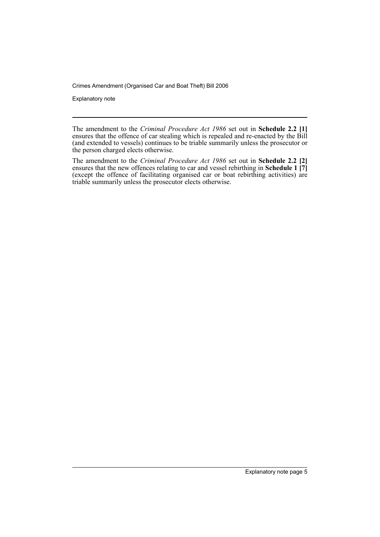Explanatory note

The amendment to the *Criminal Procedure Act 1986* set out in **Schedule 2.2 [1]** ensures that the offence of car stealing which is repealed and re-enacted by the Bill (and extended to vessels) continues to be triable summarily unless the prosecutor or the person charged elects otherwise.

The amendment to the *Criminal Procedure Act 1986* set out in **Schedule 2.2 [2]** ensures that the new offences relating to car and vessel rebirthing in **Schedule 1 [7]** (except the offence of facilitating organised car or boat rebirthing activities) are triable summarily unless the prosecutor elects otherwise.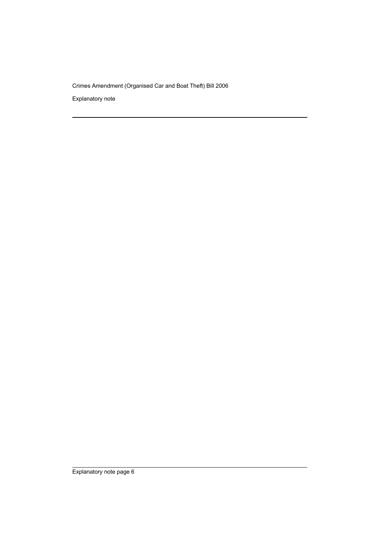Explanatory note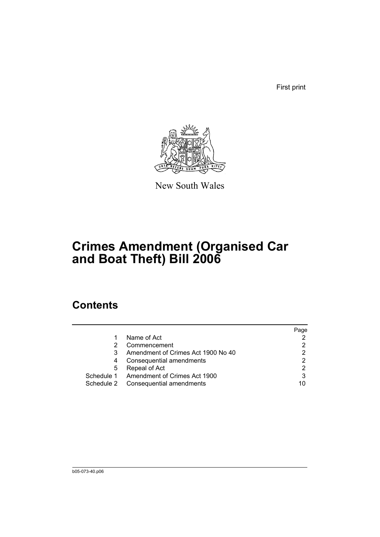First print



New South Wales

# **Crimes Amendment (Organised Car and Boat Theft) Bill 2006**

## **Contents**

|            |                                         | Page |
|------------|-----------------------------------------|------|
| 1          | Name of Act                             |      |
|            | Commencement                            | 2    |
| 3          | Amendment of Crimes Act 1900 No 40      | 2    |
| 4          | Consequential amendments                | 2    |
| 5          | Repeal of Act                           |      |
|            | Schedule 1 Amendment of Crimes Act 1900 | 3    |
| Schedule 2 | Consequential amendments                | 10   |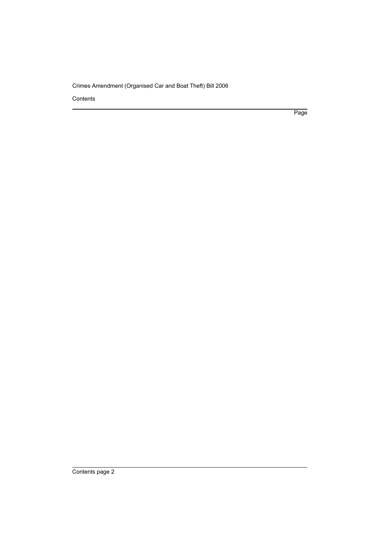Contents

Page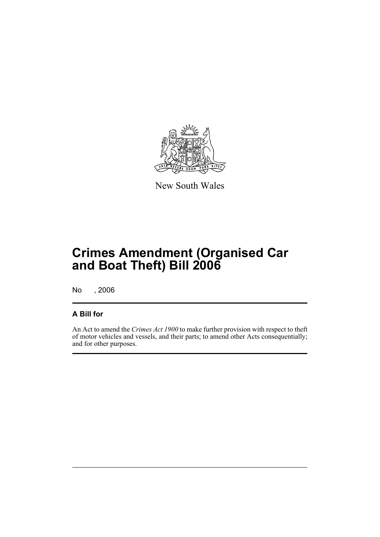

New South Wales

## **Crimes Amendment (Organised Car and Boat Theft) Bill 2006**

No , 2006

#### **A Bill for**

An Act to amend the *Crimes Act 1900* to make further provision with respect to theft of motor vehicles and vessels, and their parts; to amend other Acts consequentially; and for other purposes.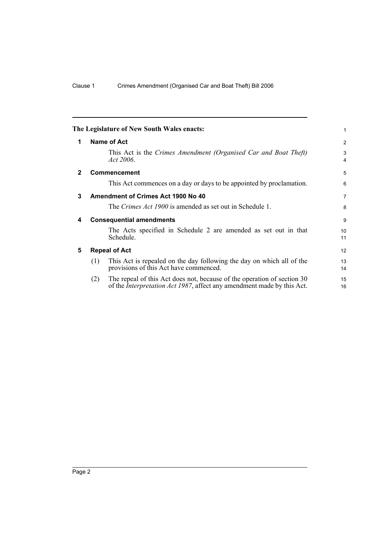|             |     | The Legislature of New South Wales enacts:                                                                                                                | 1              |
|-------------|-----|-----------------------------------------------------------------------------------------------------------------------------------------------------------|----------------|
| 1           |     | Name of Act                                                                                                                                               | 2              |
|             |     | This Act is the Crimes Amendment (Organised Car and Boat Theft)<br>$Act\,2006$ .                                                                          | 3<br>4         |
| $\mathbf 2$ |     | Commencement                                                                                                                                              | 5              |
|             |     | This Act commences on a day or days to be appointed by proclamation.                                                                                      | 6              |
| 3           |     | Amendment of Crimes Act 1900 No 40                                                                                                                        | $\overline{7}$ |
|             |     | The <i>Crimes Act 1900</i> is amended as set out in Schedule 1.                                                                                           | 8              |
| 4           |     | <b>Consequential amendments</b>                                                                                                                           | 9              |
|             |     | The Acts specified in Schedule 2 are amended as set out in that<br>Schedule.                                                                              | 10<br>11       |
| 5           |     | <b>Repeal of Act</b>                                                                                                                                      | 12             |
|             | (1) | This Act is repealed on the day following the day on which all of the<br>provisions of this Act have commenced.                                           | 13<br>14       |
|             | (2) | The repeal of this Act does not, because of the operation of section 30<br>of the <i>Interpretation Act 1987</i> , affect any amendment made by this Act. | 15<br>16       |
|             |     |                                                                                                                                                           |                |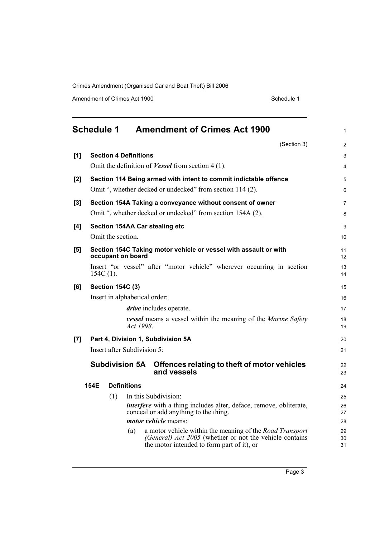Amendment of Crimes Act 1900 Schedule 1

|       | <b>Schedule 1</b> |                                    | <b>Amendment of Crimes Act 1900</b>                        |                                                                                                                     | $\mathbf{1}$   |
|-------|-------------------|------------------------------------|------------------------------------------------------------|---------------------------------------------------------------------------------------------------------------------|----------------|
|       |                   |                                    |                                                            | (Section 3)                                                                                                         | 2              |
| [1]   |                   | <b>Section 4 Definitions</b>       |                                                            |                                                                                                                     | 3              |
|       |                   |                                    | Omit the definition of <i>Vessel</i> from section $4(1)$ . |                                                                                                                     | $\overline{4}$ |
| [2]   |                   |                                    |                                                            | Section 114 Being armed with intent to commit indictable offence                                                    | 5              |
|       |                   |                                    | Omit ", whether decked or undecked" from section 114 (2).  |                                                                                                                     | 6              |
| $[3]$ |                   |                                    | Section 154A Taking a conveyance without consent of owner  |                                                                                                                     | $\overline{7}$ |
|       |                   |                                    | Omit ", whether decked or undecked" from section 154A (2). |                                                                                                                     | 8              |
| [4]   |                   |                                    | <b>Section 154AA Car stealing etc</b>                      |                                                                                                                     | 9              |
|       |                   | Omit the section.                  |                                                            |                                                                                                                     | 10             |
| [5]   |                   | occupant on board                  |                                                            | Section 154C Taking motor vehicle or vessel with assault or with                                                    | 11<br>12       |
|       | $154C(1)$ .       |                                    |                                                            | Insert "or vessel" after "motor vehicle" wherever occurring in section                                              | 13<br>14       |
| [6]   |                   | <b>Section 154C (3)</b>            |                                                            |                                                                                                                     | 15             |
|       |                   | Insert in alphabetical order:      |                                                            |                                                                                                                     | 16             |
|       |                   |                                    | <i>drive</i> includes operate.                             |                                                                                                                     | 17             |
|       |                   | Act 1998.                          |                                                            | <b>vessel</b> means a vessel within the meaning of the <i>Marine Safety</i>                                         | 18<br>19       |
| [7]   |                   |                                    | Part 4, Division 1, Subdivision 5A                         |                                                                                                                     | 20             |
|       |                   | <b>Insert after Subdivision 5:</b> |                                                            |                                                                                                                     | 21             |
|       |                   | <b>Subdivision 5A</b>              | and vessels                                                | Offences relating to theft of motor vehicles                                                                        | 22<br>23       |
|       | 154E              | <b>Definitions</b>                 |                                                            |                                                                                                                     | 24             |
|       |                   | (1)                                | In this Subdivision:                                       |                                                                                                                     | 25             |
|       |                   |                                    | conceal or add anything to the thing.                      | <i>interfere</i> with a thing includes alter, deface, remove, obliterate,                                           | 26<br>27       |
|       |                   |                                    | <i>motor vehicle</i> means:                                |                                                                                                                     | 28             |
|       |                   | (a)                                | the motor intended to form part of it), or                 | a motor vehicle within the meaning of the Road Transport<br>(General) Act 2005 (whether or not the vehicle contains | 29<br>30<br>31 |
|       |                   |                                    |                                                            |                                                                                                                     |                |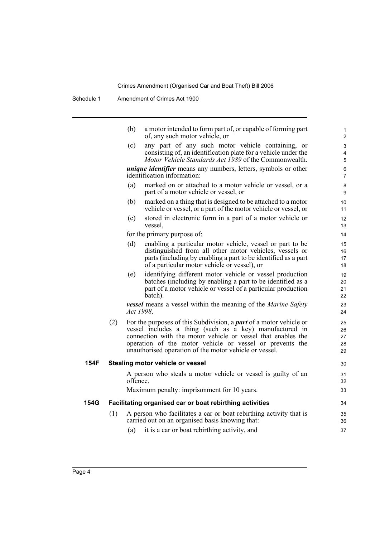Schedule 1 Amendment of Crimes Act 1900

|      |     | (b)<br>a motor intended to form part of, or capable of forming part<br>of, any such motor vehicle, or                                                                                                                                                                                                                      | 1<br>$\overline{2}$               |
|------|-----|----------------------------------------------------------------------------------------------------------------------------------------------------------------------------------------------------------------------------------------------------------------------------------------------------------------------------|-----------------------------------|
|      |     | any part of any such motor vehicle containing, or<br>(c)<br>consisting of, an identification plate for a vehicle under the<br>Motor Vehicle Standards Act 1989 of the Commonwealth.                                                                                                                                        | 3<br>$\overline{\mathbf{4}}$<br>5 |
|      |     | <i>unique identifier</i> means any numbers, letters, symbols or other<br>identification information:                                                                                                                                                                                                                       | 6<br>$\overline{7}$               |
|      |     | (a)<br>marked on or attached to a motor vehicle or vessel, or a<br>part of a motor vehicle or vessel, or                                                                                                                                                                                                                   | 8<br>$\boldsymbol{9}$             |
|      |     | (b)<br>marked on a thing that is designed to be attached to a motor<br>vehicle or vessel, or a part of the motor vehicle or vessel, or                                                                                                                                                                                     | 10<br>11                          |
|      |     | stored in electronic form in a part of a motor vehicle or<br>(c)<br>vessel,                                                                                                                                                                                                                                                | 12<br>13                          |
|      |     | for the primary purpose of:                                                                                                                                                                                                                                                                                                | 14                                |
|      |     | (d)<br>enabling a particular motor vehicle, vessel or part to be<br>distinguished from all other motor vehicles, vessels or<br>parts (including by enabling a part to be identified as a part<br>of a particular motor vehicle or vessel), or                                                                              | 15<br>16<br>17<br>18              |
|      |     | identifying different motor vehicle or vessel production<br>(e)<br>batches (including by enabling a part to be identified as a<br>part of a motor vehicle or vessel of a particular production<br>batch).                                                                                                                  | 19<br>20<br>21<br>22              |
|      |     | <b>vessel</b> means a vessel within the meaning of the <i>Marine Safety</i><br>Act 1998.                                                                                                                                                                                                                                   | 23<br>24                          |
|      | (2) | For the purposes of this Subdivision, a <i>part</i> of a motor vehicle or<br>vessel includes a thing (such as a key) manufactured in<br>connection with the motor vehicle or vessel that enables the<br>operation of the motor vehicle or vessel or prevents the<br>unauthorised operation of the motor vehicle or vessel. | 25<br>26<br>27<br>28<br>29        |
| 154F |     | Stealing motor vehicle or vessel                                                                                                                                                                                                                                                                                           | 30                                |
|      |     | A person who steals a motor vehicle or vessel is guilty of an<br>offence.                                                                                                                                                                                                                                                  | 31<br>32                          |
|      |     | Maximum penalty: imprisonment for 10 years.                                                                                                                                                                                                                                                                                | 33                                |
| 154G |     | Facilitating organised car or boat rebirthing activities                                                                                                                                                                                                                                                                   | 34                                |
|      | (1) | A person who facilitates a car or boat rebirthing activity that is<br>carried out on an organised basis knowing that:<br>it is a car or boat rebirthing activity, and<br>(a)                                                                                                                                               | 35<br>36<br>37                    |
|      |     |                                                                                                                                                                                                                                                                                                                            |                                   |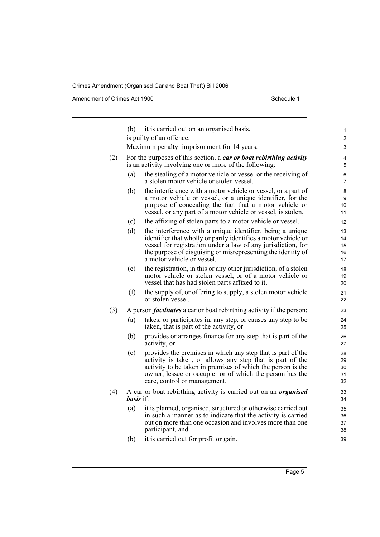Amendment of Crimes Act 1900 Schedule 1

|     | (b)                                         | it is carried out on an organised basis,                                                                                     | 1                       |  |
|-----|---------------------------------------------|------------------------------------------------------------------------------------------------------------------------------|-------------------------|--|
|     |                                             | is guilty of an offence.                                                                                                     | $\overline{\mathbf{c}}$ |  |
|     | Maximum penalty: imprisonment for 14 years. |                                                                                                                              |                         |  |
| (2) |                                             | For the purposes of this section, a car or boat rebirthing activity                                                          | 4                       |  |
|     |                                             | is an activity involving one or more of the following:                                                                       | 5                       |  |
|     | (a)                                         | the stealing of a motor vehicle or vessel or the receiving of<br>a stolen motor vehicle or stolen vessel,                    | 6<br>7                  |  |
|     | (b)                                         | the interference with a motor vehicle or vessel, or a part of                                                                | 8                       |  |
|     |                                             | a motor vehicle or vessel, or a unique identifier, for the<br>purpose of concealing the fact that a motor vehicle or         | 9<br>10                 |  |
|     |                                             | vessel, or any part of a motor vehicle or vessel, is stolen,                                                                 | 11                      |  |
|     | (c)                                         | the affixing of stolen parts to a motor vehicle or vessel,                                                                   | 12                      |  |
|     | (d)                                         | the interference with a unique identifier, being a unique                                                                    | 13                      |  |
|     |                                             | identifier that wholly or partly identifies a motor vehicle or                                                               | 14                      |  |
|     |                                             | vessel for registration under a law of any jurisdiction, for<br>the purpose of disguising or misrepresenting the identity of | 15<br>16                |  |
|     |                                             | a motor vehicle or vessel,                                                                                                   | 17                      |  |
|     | (e)                                         | the registration, in this or any other jurisdiction, of a stolen                                                             | 18                      |  |
|     |                                             | motor vehicle or stolen vessel, or of a motor vehicle or                                                                     | 19                      |  |
|     |                                             | vessel that has had stolen parts affixed to it,                                                                              | 20                      |  |
|     | (f)                                         | the supply of, or offering to supply, a stolen motor vehicle<br>or stolen vessel.                                            | 21<br>22                |  |
| (3) |                                             | A person <i>facilitates</i> a car or boat rebirthing activity if the person:                                                 | 23                      |  |
|     | (a)                                         | takes, or participates in, any step, or causes any step to be<br>taken, that is part of the activity, or                     | 24<br>25                |  |
|     | (b)                                         | provides or arranges finance for any step that is part of the                                                                | 26                      |  |
|     |                                             | activity, or                                                                                                                 | 27                      |  |
|     | (c)                                         | provides the premises in which any step that is part of the<br>activity is taken, or allows any step that is part of the     | 28<br>29                |  |
|     |                                             | activity to be taken in premises of which the person is the                                                                  | 30                      |  |
|     |                                             | owner, lessee or occupier or of which the person has the                                                                     | 31                      |  |
|     |                                             | care, control or management.                                                                                                 | 32                      |  |
| (4) | <i>basis</i> if:                            | A car or boat rebirthing activity is carried out on an <i>organised</i>                                                      | 33<br>34                |  |
|     | (a)                                         | it is planned, organised, structured or otherwise carried out                                                                | 35                      |  |
|     |                                             | in such a manner as to indicate that the activity is carried<br>out on more than one occasion and involves more than one     | 36                      |  |
|     |                                             | participant, and                                                                                                             | 37<br>38                |  |
|     | (b)                                         | it is carried out for profit or gain.                                                                                        | 39                      |  |
|     |                                             |                                                                                                                              |                         |  |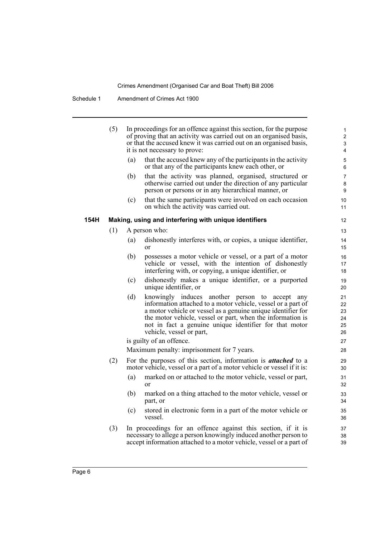|      | (5) |     | In proceedings for an offence against this section, for the purpose<br>of proving that an activity was carried out on an organised basis,<br>or that the accused knew it was carried out on an organised basis,<br>it is not necessary to prove:                                                                                   | $\mathbf{1}$<br>2<br>3<br>4      |
|------|-----|-----|------------------------------------------------------------------------------------------------------------------------------------------------------------------------------------------------------------------------------------------------------------------------------------------------------------------------------------|----------------------------------|
|      |     | (a) | that the accused knew any of the participants in the activity<br>or that any of the participants knew each other, or                                                                                                                                                                                                               | 5<br>6                           |
|      |     | (b) | that the activity was planned, organised, structured or<br>otherwise carried out under the direction of any particular<br>person or persons or in any hierarchical manner, or                                                                                                                                                      | $\overline{7}$<br>8<br>9         |
|      |     | (c) | that the same participants were involved on each occasion<br>on which the activity was carried out.                                                                                                                                                                                                                                | 10<br>11                         |
| 154H |     |     | Making, using and interfering with unique identifiers                                                                                                                                                                                                                                                                              | 12                               |
|      | (1) |     | A person who:                                                                                                                                                                                                                                                                                                                      | 13                               |
|      |     | (a) | dishonestly interferes with, or copies, a unique identifier,<br>or                                                                                                                                                                                                                                                                 | 14<br>15                         |
|      |     | (b) | possesses a motor vehicle or vessel, or a part of a motor<br>vehicle or vessel, with the intention of dishonestly<br>interfering with, or copying, a unique identifier, or                                                                                                                                                         | 16<br>17<br>18                   |
|      |     | (c) | dishonestly makes a unique identifier, or a purported<br>unique identifier, or                                                                                                                                                                                                                                                     | 19<br>20                         |
|      |     | (d) | knowingly induces another person to accept any<br>information attached to a motor vehicle, vessel or a part of<br>a motor vehicle or vessel as a genuine unique identifier for<br>the motor vehicle, vessel or part, when the information is<br>not in fact a genuine unique identifier for that motor<br>vehicle, vessel or part, | 21<br>22<br>23<br>24<br>25<br>26 |
|      |     |     | is guilty of an offence.                                                                                                                                                                                                                                                                                                           | 27                               |
|      |     |     | Maximum penalty: imprisonment for 7 years.                                                                                                                                                                                                                                                                                         | 28                               |
|      | (2) |     | For the purposes of this section, information is <i>attached</i> to a<br>motor vehicle, vessel or a part of a motor vehicle or vessel if it is:                                                                                                                                                                                    | 29<br>30                         |
|      |     | (a) | marked on or attached to the motor vehicle, vessel or part,<br><sub>or</sub>                                                                                                                                                                                                                                                       | 31<br>32                         |
|      |     | (b) | marked on a thing attached to the motor vehicle, vessel or<br>part, or                                                                                                                                                                                                                                                             | 33<br>34                         |
|      |     | (c) | stored in electronic form in a part of the motor vehicle or<br>vessel.                                                                                                                                                                                                                                                             | 35<br>36                         |
|      | (3) |     | In proceedings for an offence against this section, if it is<br>necessary to allege a person knowingly induced another person to<br>accept information attached to a motor vehicle, vessel or a part of                                                                                                                            | 37<br>38<br>39                   |
|      |     |     |                                                                                                                                                                                                                                                                                                                                    |                                  |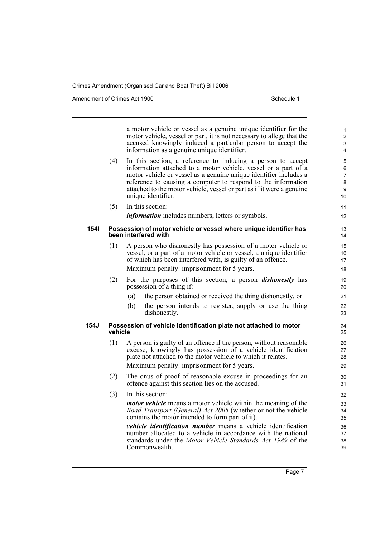Amendment of Crimes Act 1900 New York 1900 New York 1900 New York 1900 Schedule 1

a motor vehicle or vessel as a genuine unique identifier for the motor vehicle, vessel or part, it is not necessary to allege that the accused knowingly induced a particular person to accept the information as a genuine unique identifier. (4) In this section, a reference to inducing a person to accept information attached to a motor vehicle, vessel or a part of a motor vehicle or vessel as a genuine unique identifier includes a reference to causing a computer to respond to the information attached to the motor vehicle, vessel or part as if it were a genuine unique identifier. (5) In this section: *information* includes numbers, letters or symbols. **154I Possession of motor vehicle or vessel where unique identifier has been interfered with** (1) A person who dishonestly has possession of a motor vehicle or vessel, or a part of a motor vehicle or vessel, a unique identifier of which has been interfered with, is guilty of an offence. Maximum penalty: imprisonment for 5 years. (2) For the purposes of this section, a person *dishonestly* has possession of a thing if: (a) the person obtained or received the thing dishonestly, or (b) the person intends to register, supply or use the thing dishonestly. **154J Possession of vehicle identification plate not attached to motor vehicle** (1) A person is guilty of an offence if the person, without reasonable excuse, knowingly has possession of a vehicle identification plate not attached to the motor vehicle to which it relates. Maximum penalty: imprisonment for 5 years. (2) The onus of proof of reasonable excuse in proceedings for an offence against this section lies on the accused. (3) In this section: *motor vehicle* means a motor vehicle within the meaning of the *Road Transport (General) Act 2005* (whether or not the vehicle contains the motor intended to form part of it). *vehicle identification number* means a vehicle identification number allocated to a vehicle in accordance with the national standards under the *Motor Vehicle Standards Act 1989* of the Commonwealth. 1  $\overline{2}$ 3 4 5 6 7 8 9 10 11 12 13 14 15 16 17 18 19 20 21 22 23 24 25 26 27 28 29  $30$ 31 32 33  $34$ 35 36 37 38 39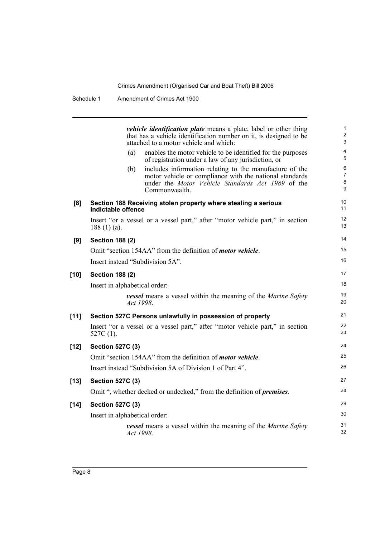|        | <i>vehicle identification plate</i> means a plate, label or other thing<br>that has a vehicle identification number on it, is designed to be<br>attached to a motor vehicle and which:          | $\mathbf{1}$<br>$\overline{2}$<br>$\mathbf{3}$ |
|--------|-------------------------------------------------------------------------------------------------------------------------------------------------------------------------------------------------|------------------------------------------------|
|        | enables the motor vehicle to be identified for the purposes<br>(a)<br>of registration under a law of any jurisdiction, or                                                                       | $\overline{4}$<br>5                            |
|        | includes information relating to the manufacture of the<br>(b)<br>motor vehicle or compliance with the national standards<br>under the Motor Vehicle Standards Act 1989 of the<br>Commonwealth. | 6<br>$\overline{7}$<br>8<br>9                  |
| [8]    | Section 188 Receiving stolen property where stealing a serious<br>indictable offence                                                                                                            | 10<br>11                                       |
|        | Insert "or a vessel or a vessel part," after "motor vehicle part," in section<br>$188(1)(a)$ .                                                                                                  | 12<br>13                                       |
| [9]    | <b>Section 188 (2)</b>                                                                                                                                                                          | 14                                             |
|        | Omit "section 154AA" from the definition of <i>motor vehicle</i> .                                                                                                                              | 15                                             |
|        | Insert instead "Subdivision 5A".                                                                                                                                                                | 16                                             |
| $[10]$ | <b>Section 188 (2)</b>                                                                                                                                                                          | 17                                             |
|        | Insert in alphabetical order:                                                                                                                                                                   | 18                                             |
|        | <b>vessel</b> means a vessel within the meaning of the <i>Marine Safety</i><br>Act 1998                                                                                                         | 19<br>20                                       |
| [11]   | Section 527C Persons unlawfully in possession of property                                                                                                                                       | 21                                             |
|        | Insert "or a vessel or a vessel part," after "motor vehicle part," in section<br>$527C(1)$ .                                                                                                    | 22<br>23                                       |
| $[12]$ | <b>Section 527C (3)</b>                                                                                                                                                                         | 24                                             |
|        | Omit "section 154AA" from the definition of <i>motor vehicle</i> .                                                                                                                              | 25                                             |
|        | Insert instead "Subdivision 5A of Division 1 of Part 4".                                                                                                                                        | 26                                             |
| $[13]$ | <b>Section 527C (3)</b>                                                                                                                                                                         | 27                                             |
|        | Omit ", whether decked or undecked," from the definition of <i>premises</i> .                                                                                                                   | 28                                             |
| [14]   | <b>Section 527C (3)</b>                                                                                                                                                                         | 29                                             |
|        | Insert in alphabetical order:                                                                                                                                                                   | 30                                             |
|        | vessel means a vessel within the meaning of the Marine Safety<br>Act 1998.                                                                                                                      | 31<br>32                                       |
|        |                                                                                                                                                                                                 |                                                |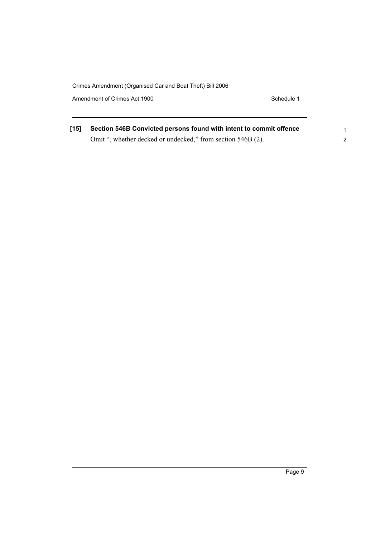Amendment of Crimes Act 1900 Schedule 1

| [15] | Section 546B Convicted persons found with intent to commit offence |  |
|------|--------------------------------------------------------------------|--|
|      | Omit ", whether decked or undecked," from section 546B (2).        |  |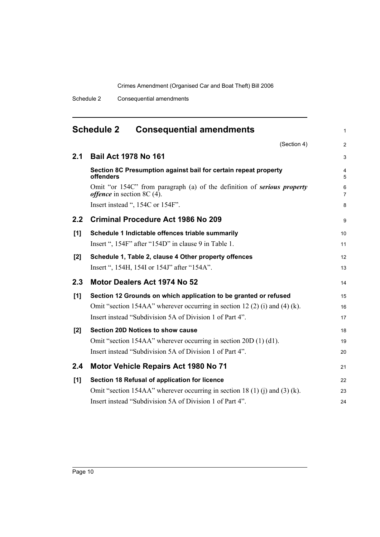|                  | <b>Schedule 2</b><br><b>Consequential amendments</b>                                                                   | 1      |
|------------------|------------------------------------------------------------------------------------------------------------------------|--------|
|                  | (Section 4)                                                                                                            | 2      |
| 2.1              | <b>Bail Act 1978 No 161</b>                                                                                            | 3      |
|                  | Section 8C Presumption against bail for certain repeat property<br>offenders                                           | 4<br>5 |
|                  | Omit "or 154C" from paragraph (a) of the definition of <b>serious property</b><br><i>offence</i> in section 8C $(4)$ . | 6<br>7 |
|                  | Insert instead ", 154C or 154F".                                                                                       | 8      |
| 2.2 <sub>2</sub> | <b>Criminal Procedure Act 1986 No 209</b>                                                                              | 9      |
| [1]              | Schedule 1 Indictable offences triable summarily                                                                       | 10     |
|                  | Insert ", 154F" after "154D" in clause 9 in Table 1.                                                                   | 11     |
| $[2]$            | Schedule 1, Table 2, clause 4 Other property offences                                                                  | 12     |
|                  | Insert ", 154H, 154I or 154J" after "154A".                                                                            | 13     |
| 2.3              | Motor Dealers Act 1974 No 52                                                                                           | 14     |
| [1]              | Section 12 Grounds on which application to be granted or refused                                                       | 15     |
|                  | Omit "section 154AA" wherever occurring in section 12 (2) (i) and (4) (k).                                             | 16     |
|                  | Insert instead "Subdivision 5A of Division 1 of Part 4".                                                               | 17     |
| [2]              | <b>Section 20D Notices to show cause</b>                                                                               | 18     |
|                  | Omit "section 154AA" wherever occurring in section 20D (1) (d1).                                                       | 19     |
|                  | Insert instead "Subdivision 5A of Division 1 of Part 4".                                                               | 20     |
| $2.4^{\circ}$    | <b>Motor Vehicle Repairs Act 1980 No 71</b>                                                                            | 21     |
| [1]              | Section 18 Refusal of application for licence                                                                          | 22     |
|                  | Omit "section 154AA" wherever occurring in section 18 (1) (j) and (3) (k).                                             | 23     |
|                  | Insert instead "Subdivision 5A of Division 1 of Part 4".                                                               | 24     |